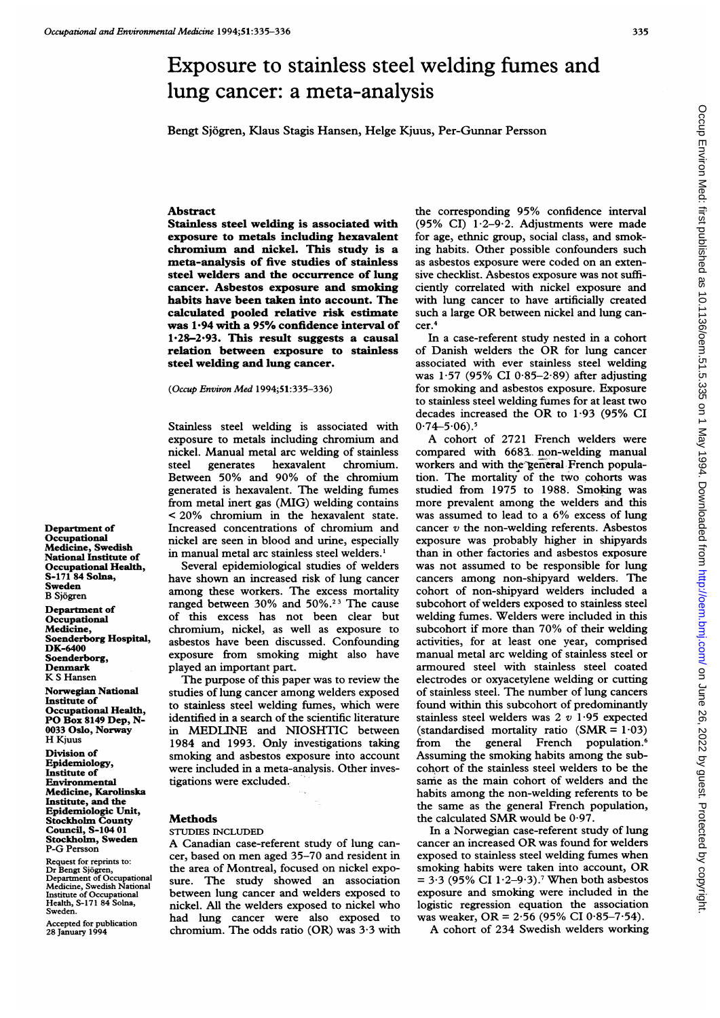Bengt Sjogren, Klaus Stagis Hansen, Helge Kjuus, Per-Gunnar Persson

# Abstract

Stainless steel welding is associated with exposure to metals including hexavalent chromium and nickel. This study is a meta-analysis of five studies of stainless steel welders and the occurrence of lung cancer. Asbestos exposure and smoking habits have been taken into account. The calculated pooled relative risk estimate was 1\*94 with a 95% confidence interval of  $1.28 - 2.93$ . This result suggests a causal relation between exposure to stainless steel welding and lung cancer.

(Occup Environ Med 1994;51:335-336)

Stainless steel welding is associated with exposure to metals including chromium and nickel. Manual metal arc welding of stainless steel generates hexavalent chromium. Between 50% and 90% of the chromium generated is hexavalent. The welding fumes from metal inert gas (MIG) welding contains < 20% chromium in the hexavalent state. Increased concentrations of chromium and nickel are seen in blood and urine, especially in manual metal arc stainless steel welders.'

Several epidemiological studies of welders have shown an increased risk of lung cancer among these workers. The excess mortality ranged between 30% and 50%.<sup>23</sup> The cause of this excess has not been clear but chromium, nickel, as well as exposure to asbestos have been discussed. Confounding exposure from smoking might also have played an important part.

The purpose of this paper was to review the studies of lung cancer among welders exposed to stainless steel welding fumes, which were identified in a search of the scientific literature in MEDLINE and NIOSHTIC between 1984 and 1993. Only investigations taking smoking and asbestos exposure into account were included in a meta-analysis. Other investigations were excluded.

### Methods

STUDIES INCLUDED

A Canadian case-referent study of lung cancer, based on men aged 35-70 and resident in the area of Montreal, focused on nickel exposure. The study showed an association between lung cancer and welders exposed to nickel. All the welders exposed to nickel who had lung cancer were also exposed to chromium. The odds ratio (OR) was 3-3 with

the corresponding 95% confidence interval (95% CI)  $1.2-9.2$ . Adjustments were made for age, ethnic group, social class, and smoking habits. Other possible confounders such as asbestos exposure were coded on an extensive checklist. Asbestos exposure was not sufficiently correlated with nickel exposure and with lung cancer to have artificially created such <sup>a</sup> large OR between nickel and lung cancer.4

In a case-referent study nested in a cohort of Danish welders the OR for lung cancer associated with ever stainless steel welding was  $1.57$  (95% CI 0.85-2.89) after adjusting for smoking and asbestos exposure. Exposure to stainless steel welding fumes for at least two decades increased the OR to 1-93 (95% CI  $0.74 - 5.06$ .

A cohort of <sup>2721</sup> French welders were compared with 6683. non-welding manual workers and with the general French population. The mortality of the two cohorts was studied from 1975 to 1988. Smoking was more prevalent among the welders and this was assumed to lead to <sup>a</sup> 6% excess of lung cancer  $v$  the non-welding referents. Asbestos exposure was probably higher in shipyards than in other factories and asbestos exposure was not assumed to be responsible for lung cancers among non-shipyard welders. The cohort of non-shipyard welders included a subcohort of welders exposed to stainless steel welding fumes. Welders were included in this subcohort if more than 70% of their welding activities, for at least one year, comprised manual metal arc welding of stainless steel or armoured steel with stainless steel coated electrodes or oxyacetylene welding or cutting of stainless steel. The number of lung cancers found within this subcohort of predominantly stainless steel welders was  $2 v 1.95$  expected (standardised mortality ratio  $(SMR = 1.03)$ from the general French population.<sup>6</sup> Assuming the smoking habits among the subcohort of the stainless steel welders to be the same as the main cohort of welders and the habits among the non-welding referents to be the same as the general French population, the calculated SMR would be 0-97.

In a Norwegian case-referent study of lung cancer an increased OR was found for welders exposed to stainless steel welding fumes when smoking habits were taken into account, OR  $= 3.3$  (95% CI 1.2–9.3).<sup>7</sup> When both asbestos exposure and smoking were included in the logistic regression equation the association was weaker, OR =  $2.56$  (95% CI 0.85-7.54).

A cohort of 234 Swedish welders working

Department of Occupational Medicine, Swedish National Institute of Occupational Health, S-171 84 Solna, Sweden B Sj6gren Department of

**Occupational** Medicine, Soenderborg Hospital, DK-6400 Soenderborg, Denmark K <sup>S</sup> Hansen

Norwegian National Institute of Occupational Health, PO Box <sup>8149</sup> Dep, N-0033 Oslo, Norway H Kjuus

Division of Epidemiology, Institute of Environmental Medicine, Karolinska Institute, and the Epidemiologic Unit, Stockholm County Council, S-104 01 Stockholm, Sweden P-G Persson

Request for reprints to: Dr Bengt Sjdgren, Department of Occupational Medicine, Swedish National Institute of Occupational Health, S-171 84 Solna, Sweden.

Accepted for publication 28 January 1994